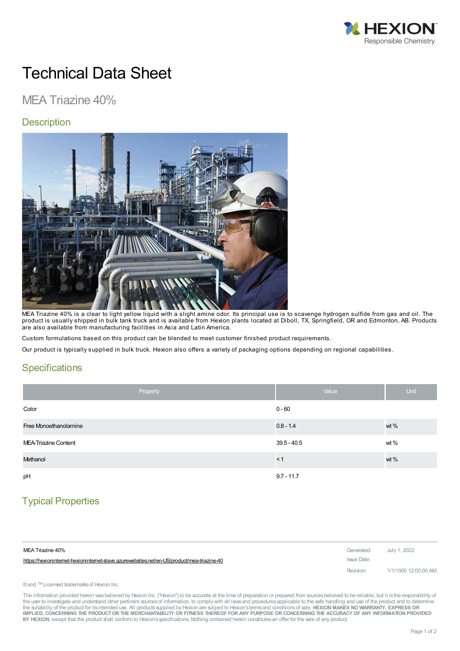

# Technical Data Sheet

# MEA Triazine 40%

#### **Description**



MEA Triazine 40% is a clear to light yellow liquid with a slight amine odor. Its principal use is to scavenge hydrogen sulfide from gas and oil. The product is usually shipped in bulk tank truck and is available from Hexion plants located at Diboll, TX, Springfield, OR and Edmonton, AB. Products are also available from manufacturing facilities in Asia and Latin America.

Custom formulations based on this product can be blended to meet customer finished product requirements.

Our product is typically supplied in bulk truck. Hexion also offers a variety of packaging options depending on regional capabilities.

#### **Specifications**

| Property              | Value         | <b>Unit</b> |
|-----------------------|---------------|-------------|
| Color                 | $0 - 60$      |             |
| Free Monoethanolamine | $0.8 - 1.4$   | wt %        |
| MEA-Triazine Content  | $39.5 - 40.5$ | wt $%$      |
| Methanol              | < 1           | wt %        |
| pH                    | $9.7 - 11.7$  |             |

## Typical Properties

| MEA Triazine 40%                                                                          | Generated: July 1, 2022 |                      |
|-------------------------------------------------------------------------------------------|-------------------------|----------------------|
| https://hexionintemet-hexionintemet-slave.azurewebsites.net/en-US/product/mea-triazine-40 | Issue Date:             |                      |
|                                                                                           | Revision:               | 1/1/1900 12:00:00 AM |

® and ™ Licensed trademarks of Hexion Inc.

The information provided herein was believed by Hexion Inc. ("Hexion") to be accurate at the time of preparation or prepared from sources believed to be reliable, but it is the responsibility of the user to investigate and understand other pertinent sources of information, to comply with all laws and procedures applicable to the safe handling and use of the product and to determine the suitability of the product for itsintended use. All productssupplied by Hexion are subject to Hexion'stermsand conditionsof sale. **HEXION MAKES NO WARRANTY, EXPRESS OR** IMPLIED, CONCERNING THE PRODUCT OR THE MERCHANTABILITY OR FITNESS THEREOF FOR ANY PURPOSE OR CONCERNING THE ACCURACY OF ANY INFORMATION PROVIDED **BY HEXION**, except that the product shall conform to Hexion'sspecifications. Nothing contained herein constitutesan offer for the sale of any product.